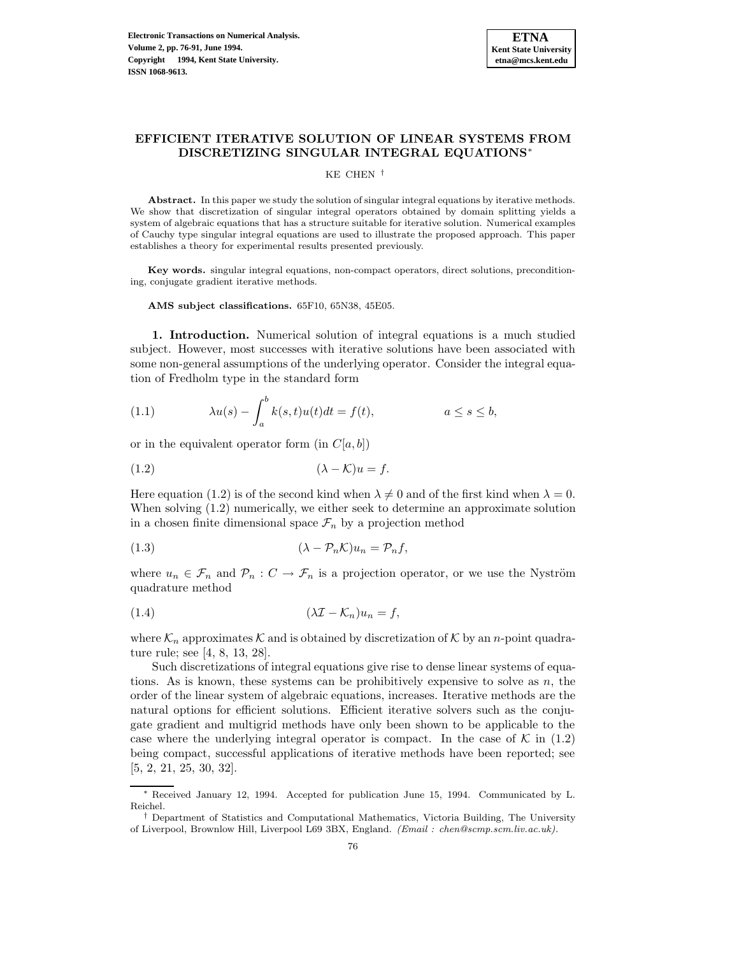

# **EFFICIENT ITERATIVE SOLUTION OF LINEAR SYSTEMS FROM DISCRETIZING SINGULAR INTEGRAL EQUATIONS**<sup>∗</sup>

KE CHEN †

**Abstract.** In this paper we study the solution of singular integral equations by iterative methods. We show that discretization of singular integral operators obtained by domain splitting yields a system of algebraic equations that has a structure suitable for iterative solution. Numerical examples of Cauchy type singular integral equations are used to illustrate the proposed approach. This paper establishes a theory for experimental results presented previously.

**Key words.** singular integral equations, non-compact operators, direct solutions, preconditioning, conjugate gradient iterative methods.

**AMS subject classifications.** 65F10, 65N38, 45E05.

**1. Introduction.** Numerical solution of integral equations is a much studied subject. However, most successes with iterative solutions have been associated with some non-general assumptions of the underlying operator. Consider the integral equation of Fredholm type in the standard form

(1.1) 
$$
\lambda u(s) - \int_a^b k(s,t)u(t)dt = f(t), \qquad a \le s \le b,
$$

or in the equivalent operator form (in  $C[a,b]$ )

$$
(1.2)\qquad \qquad (\lambda - \mathcal{K})u = f.
$$

Here equation (1.2) is of the second kind when  $\lambda \neq 0$  and of the first kind when  $\lambda = 0$ . When solving (1.2) numerically, we either seek to determine an approximate solution in a chosen finite dimensional space  $\mathcal{F}_n$  by a projection method

$$
(1.3) \qquad (\lambda - \mathcal{P}_n \mathcal{K}) u_n = \mathcal{P}_n f,
$$

where  $u_n \in \mathcal{F}_n$  and  $\mathcal{P}_n : C \to \mathcal{F}_n$  is a projection operator, or we use the Nyström quadrature method

$$
(1.4) \t\t\t (\lambda \mathcal{I} - \mathcal{K}_n)u_n = f,
$$

where  $\mathcal{K}_n$  approximates  $\mathcal K$  and is obtained by discretization of  $\mathcal K$  by an *n*-point quadrature rule; see [4, 8, 13, 28].

Such discretizations of integral equations give rise to dense linear systems of equations. As is known, these systems can be prohibitively expensive to solve as  $n$ , the order of the linear system of algebraic equations, increases. Iterative methods are the natural options for efficient solutions. Efficient iterative solvers such as the conjugate gradient and multigrid methods have only been shown to be applicable to the case where the underlying integral operator is compact. In the case of  $K$  in (1.2) being compact, successful applications of iterative methods have been reported; see [5, 2, 21, 25, 30, 32].

Received January 12, 1994. Accepted for publication June 15, 1994. Communicated by L. Reichel.

<sup>†</sup> Department of Statistics and Computational Mathematics, Victoria Building, The University of Liverpool, Brownlow Hill, Liverpool L69 3BX, England. (Email : chen@scmp.scm.liv.ac.uk).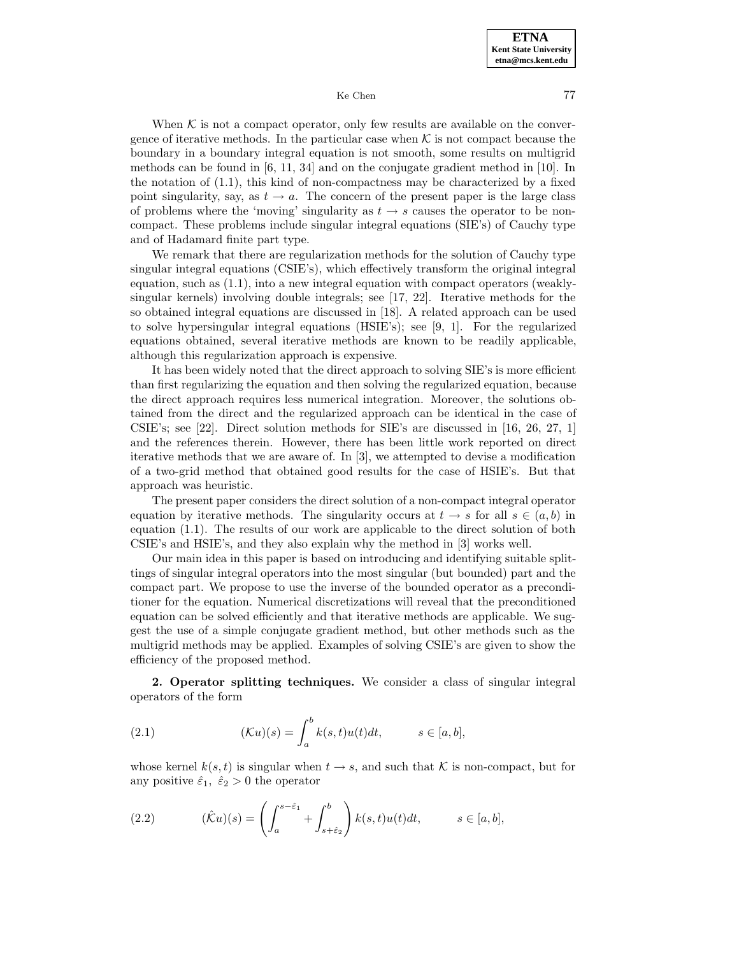When  $K$  is not a compact operator, only few results are available on the convergence of iterative methods. In the particular case when  $K$  is not compact because the boundary in a boundary integral equation is not smooth, some results on multigrid methods can be found in  $[6, 11, 34]$  and on the conjugate gradient method in [10]. In the notation of  $(1.1)$ , this kind of non-compactness may be characterized by a fixed point singularity, say, as  $t \to a$ . The concern of the present paper is the large class of problems where the 'moving' singularity as  $t \rightarrow s$  causes the operator to be noncompact. These problems include singular integral equations (SIE's) of Cauchy type and of Hadamard finite part type.

We remark that there are regularization methods for the solution of Cauchy type singular integral equations (CSIE's), which effectively transform the original integral equation, such as (1.1), into a new integral equation with compact operators (weaklysingular kernels) involving double integrals; see [17, 22]. Iterative methods for the so obtained integral equations are discussed in [18]. A related approach can be used to solve hypersingular integral equations (HSIE's); see [9, 1]. For the regularized equations obtained, several iterative methods are known to be readily applicable, although this regularization approach is expensive.

It has been widely noted that the direct approach to solving SIE's is more efficient than first regularizing the equation and then solving the regularized equation, because the direct approach requires less numerical integration. Moreover, the solutions obtained from the direct and the regularized approach can be identical in the case of CSIE's; see [22]. Direct solution methods for SIE's are discussed in [16, 26, 27, 1] and the references therein. However, there has been little work reported on direct iterative methods that we are aware of. In [3], we attempted to devise a modification of a two-grid method that obtained good results for the case of HSIE's. But that approach was heuristic.

The present paper considers the direct solution of a non-compact integral operator equation by iterative methods. The singularity occurs at  $t \to s$  for all  $s \in (a, b)$  in equation (1.1). The results of our work are applicable to the direct solution of both CSIE's and HSIE's, and they also explain why the method in [3] works well.

Our main idea in this paper is based on introducing and identifying suitable splittings of singular integral operators into the most singular (but bounded) part and the compact part. We propose to use the inverse of the bounded operator as a preconditioner for the equation. Numerical discretizations will reveal that the preconditioned equation can be solved efficiently and that iterative methods are applicable. We suggest the use of a simple conjugate gradient method, but other methods such as the multigrid methods may be applied. Examples of solving CSIE's are given to show the efficiency of the proposed method.

**2. Operator splitting techniques.** We consider a class of singular integral operators of the form

(2.1) 
$$
(\mathcal{K}u)(s) = \int_a^b k(s,t)u(t)dt, \qquad s \in [a,b],
$$

whose kernel  $k(s,t)$  is singular when  $t \to s$ , and such that K is non-compact, but for any positive  $\hat{\varepsilon}_1, \hat{\varepsilon}_2 > 0$  the operator

(2.2) 
$$
(\hat{\mathcal{K}}u)(s) = \left(\int_a^{s-\hat{\varepsilon}_1} + \int_{s+\hat{\varepsilon}_2}^b \right) k(s,t)u(t)dt, \qquad s \in [a,b],
$$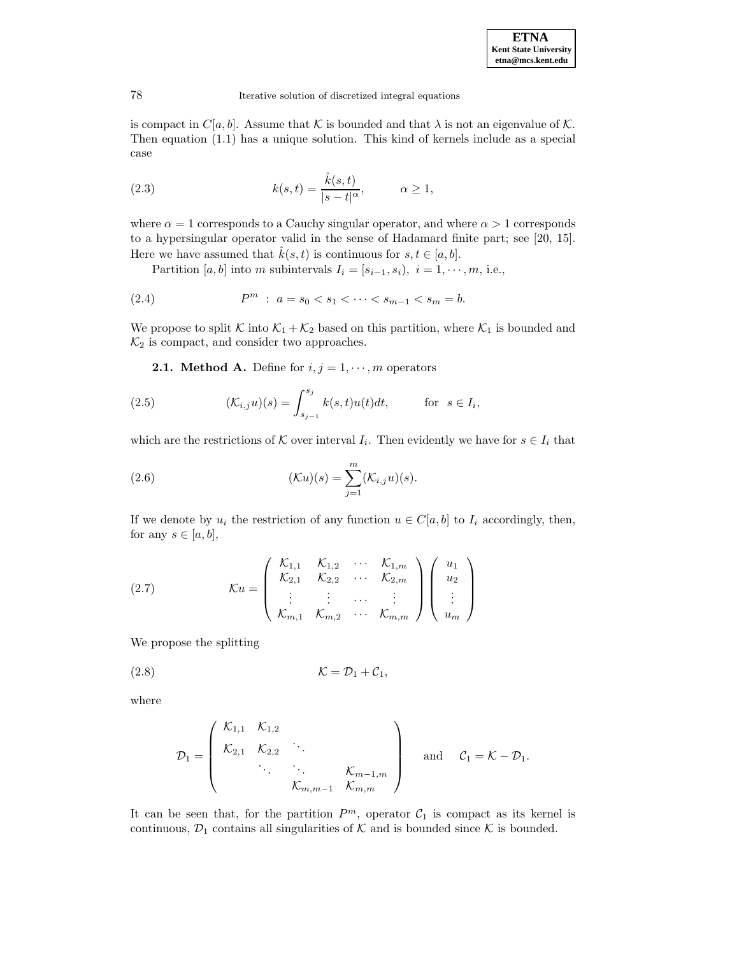is compact in  $C[a,b]$ . Assume that K is bounded and that  $\lambda$  is not an eigenvalue of K. Then equation (1.1) has a unique solution. This kind of kernels include as a special case

(2.3) 
$$
k(s,t) = \frac{\hat{k}(s,t)}{|s-t|^{\alpha}}, \qquad \alpha \ge 1,
$$

where  $\alpha = 1$  corresponds to a Cauchy singular operator, and where  $\alpha > 1$  corresponds to a hypersingular operator valid in the sense of Hadamard finite part; see [20, 15]. Here we have assumed that  $\hat{k}(s,t)$  is continuous for  $s,t \in [a,b]$ .

Partition [a, b] into m subintervals  $I_i = [s_{i-1}, s_i), i = 1, \dots, m$ , i.e.,

(2.4) 
$$
P^m : a = s_0 < s_1 < \cdots < s_{m-1} < s_m = b.
$$

We propose to split K into  $\mathcal{K}_1 + \mathcal{K}_2$  based on this partition, where  $\mathcal{K}_1$  is bounded and  $\mathcal{K}_2$  is compact, and consider two approaches.

**2.1. Method A.** Define for  $i, j = 1, \dots, m$  operators

(2.5) 
$$
(\mathcal{K}_{i,j}u)(s) = \int_{s_{j-1}}^{s_j} k(s,t)u(t)dt, \quad \text{for } s \in I_i,
$$

which are the restrictions of K over interval  $I_i$ . Then evidently we have for  $s \in I_i$  that

(2.6) 
$$
(\mathcal{K}u)(s) = \sum_{j=1}^{m} (\mathcal{K}_{i,j}u)(s).
$$

If we denote by  $u_i$  the restriction of any function  $u \in C[a, b]$  to  $I_i$  accordingly, then, for any  $s \in [a, b]$ ,

(2.7) 
$$
\mathcal{K}u = \begin{pmatrix} \mathcal{K}_{1,1} & \mathcal{K}_{1,2} & \cdots & \mathcal{K}_{1,m} \\ \mathcal{K}_{2,1} & \mathcal{K}_{2,2} & \cdots & \mathcal{K}_{2,m} \\ \vdots & \vdots & \cdots & \vdots \\ \mathcal{K}_{m,1} & \mathcal{K}_{m,2} & \cdots & \mathcal{K}_{m,m} \end{pmatrix} \begin{pmatrix} u_1 \\ u_2 \\ \vdots \\ u_m \end{pmatrix}
$$

We propose the splitting

$$
(\text{2.8}) \quad \mathcal{K} = \mathcal{D}_1 + \mathcal{C}_1,
$$

where

$$
\mathcal{D}_1 = \begin{pmatrix} \mathcal{K}_{1,1} & \mathcal{K}_{1,2} & & \\ \mathcal{K}_{2,1} & \mathcal{K}_{2,2} & \ddots & \\ & \ddots & \ddots & \ddots \\ & & \mathcal{K}_{m,m-1} & \mathcal{K}_{m,m} \end{pmatrix} \quad \text{and} \quad \mathcal{C}_1 = \mathcal{K} - \mathcal{D}_1.
$$

It can be seen that, for the partition  $P^m$ , operator  $C_1$  is compact as its kernel is continuous,  $\mathcal{D}_1$  contains all singularities of  $\mathcal K$  and is bounded since  $\mathcal K$  is bounded.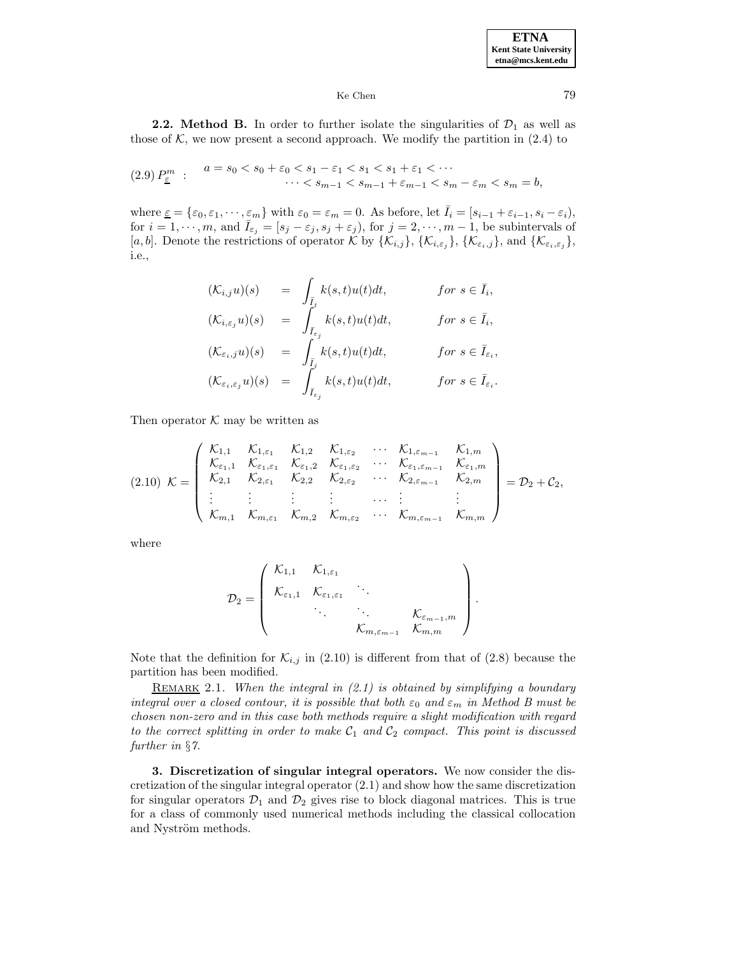**2.2. Method B.** In order to further isolate the singularities of  $\mathcal{D}_1$  as well as those of  $K$ , we now present a second approach. We modify the partition in  $(2.4)$  to

$$
(2.9) P_{\underline{\varepsilon}}^m : a = s_0 < s_0 + \varepsilon_0 < s_1 - \varepsilon_1 < s_1 < s_1 + \varepsilon_1 < \cdots \\
 \cdots < s_{m-1} < s_{m-1} + \varepsilon_{m-1} < s_m - \varepsilon_m < s_m = b,
$$

where  $\underline{\varepsilon} = {\varepsilon_0, \varepsilon_1, \cdots, \varepsilon_m}$  with  $\varepsilon_0 = \varepsilon_m = 0$ . As before, let  $\overline{I}_i = [s_{i-1} + \varepsilon_{i-1}, s_i - \varepsilon_i]$ , for  $i = 1, \dots, m$ , and  $\bar{I}_{\varepsilon_j} = [s_j - \varepsilon_j, s_j + \varepsilon_j]$ , for  $j = 2, \dots, m - 1$ , be subintervals of [a, b]. Denote the restrictions of operator K by  $\{\mathcal{K}_{i,j}\}, \{\mathcal{K}_{i,\varepsilon_j}\}, \{\mathcal{K}_{\varepsilon_i,j}\},$  and  $\{\mathcal{K}_{\varepsilon_i,\varepsilon_j}\},$ i.e.,

$$
\begin{array}{rcl}\n(\mathcal{K}_{i,j}u)(s) & = & \int_{\bar{I}_j} k(s,t)u(t)dt, & \text{for } s \in \bar{I}_i, \\
(\mathcal{K}_{i,\varepsilon_j}u)(s) & = & \int_{\bar{I}_{\varepsilon_j}} k(s,t)u(t)dt, & \text{for } s \in \bar{I}_i, \\
(\mathcal{K}_{\varepsilon_i,j}u)(s) & = & \int_{\bar{I}_j} k(s,t)u(t)dt, & \text{for } s \in \bar{I}_{\varepsilon_i}, \\
(\mathcal{K}_{\varepsilon_i,\varepsilon_j}u)(s) & = & \int_{\bar{I}_{\varepsilon_j}} k(s,t)u(t)dt, & \text{for } s \in \bar{I}_{\varepsilon_i}.\n\end{array}
$$

Then operator  $K$  may be written as

$$
(2.10) \ \mathcal{K} = \left(\begin{array}{cccccc} \mathcal{K}_{1,1} & \mathcal{K}_{1,\varepsilon_1} & \mathcal{K}_{1,2} & \mathcal{K}_{1,\varepsilon_2} & \cdots & \mathcal{K}_{1,\varepsilon_{m-1}} & \mathcal{K}_{1,m} \\ \mathcal{K}_{\varepsilon_1,1} & \mathcal{K}_{\varepsilon_1,\varepsilon_1} & \mathcal{K}_{\varepsilon_1,2} & \mathcal{K}_{\varepsilon_1,\varepsilon_2} & \cdots & \mathcal{K}_{\varepsilon_{1,\varepsilon_{m-1}}} & \mathcal{K}_{\varepsilon_1,m} \\ \mathcal{K}_{2,1} & \mathcal{K}_{2,\varepsilon_1} & \mathcal{K}_{2,2} & \mathcal{K}_{2,\varepsilon_2} & \cdots & \mathcal{K}_{2,\varepsilon_{m-1}} & \mathcal{K}_{2,m} \\ \vdots & \vdots & \vdots & \vdots & \cdots & \vdots & \vdots \\ \mathcal{K}_{m,1} & \mathcal{K}_{m,\varepsilon_1} & \mathcal{K}_{m,2} & \mathcal{K}_{m,\varepsilon_2} & \cdots & \mathcal{K}_{m,\varepsilon_{m-1}} & \mathcal{K}_{m,m}\end{array}\right) = \mathcal{D}_2 + \mathcal{C}_2,
$$

where

$$
\mathcal{D}_2 = \left(\begin{array}{cccc} \mathcal{K}_{1,1} & \mathcal{K}_{1,\varepsilon_1} & & \\ \mathcal{K}_{\varepsilon_1,1} & \mathcal{K}_{\varepsilon_1,\varepsilon_1} & \cdots & \\ \vdots & \vdots & \ddots & \ddots \\ \mathcal{K}_{m,\varepsilon_{m-1}} & \mathcal{K}_{m,m} & \end{array}\right).
$$

Note that the definition for  $\mathcal{K}_{i,j}$  in (2.10) is different from that of (2.8) because the partition has been modified.

REMARK 2.1. When the integral in  $(2.1)$  is obtained by simplifying a boundary integral over a closed contour, it is possible that both  $\varepsilon_0$  and  $\varepsilon_m$  in Method B must be chosen non-zero and in this case both methods require a slight modification with regard to the correct splitting in order to make  $C_1$  and  $C_2$  compact. This point is discussed further in  $\S$ 7.

**3. Discretization of singular integral operators.** We now consider the discretization of the singular integral operator (2.1) and show how the same discretization for singular operators  $\mathcal{D}_1$  and  $\mathcal{D}_2$  gives rise to block diagonal matrices. This is true for a class of commonly used numerical methods including the classical collocation and Nyström methods.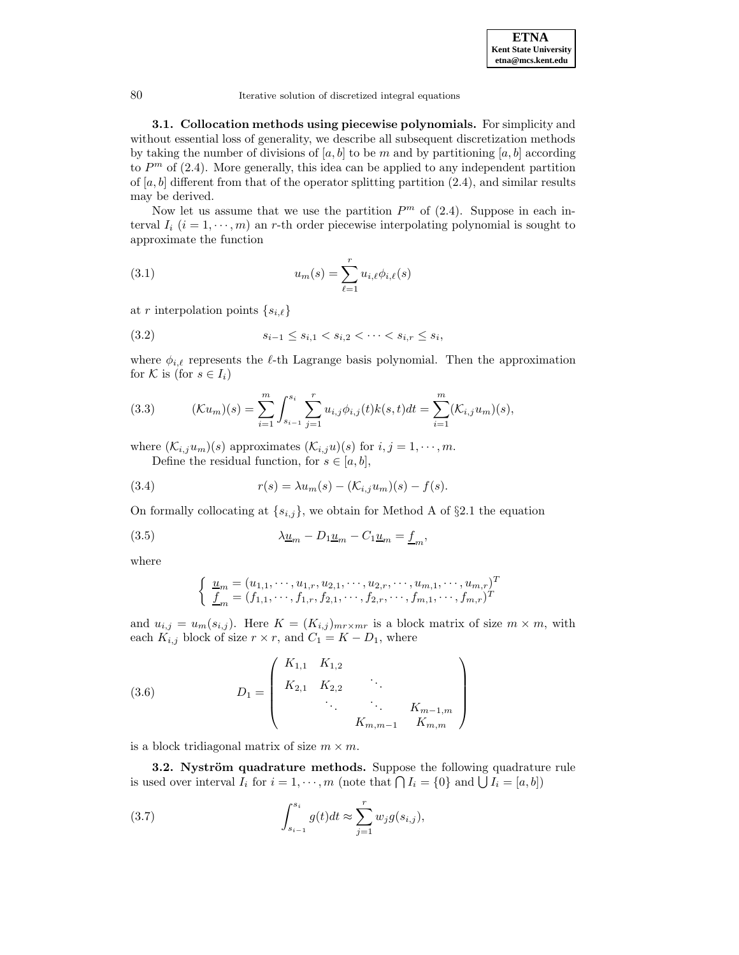**3.1. Collocation methods using piecewise polynomials.** For simplicity and without essential loss of generality, we describe all subsequent discretization methods by taking the number of divisions of  $[a,b]$  to be m and by partitioning  $[a,b]$  according to  $P<sup>m</sup>$  of (2.4). More generally, this idea can be applied to any independent partition of  $[a, b]$  different from that of the operator splitting partition (2.4), and similar results may be derived.

Now let us assume that we use the partition  $P<sup>m</sup>$  of (2.4). Suppose in each interval  $I_i$  ( $i = 1, \dots, m$ ) an r-th order piecewise interpolating polynomial is sought to approximate the function

(3.1) 
$$
u_m(s) = \sum_{\ell=1}^r u_{i,\ell} \phi_{i,\ell}(s)
$$

at r interpolation points  $\{s_{i,\ell}\}$ 

$$
(3.2) \t s_{i-1} \leq s_{i,1} < s_{i,2} < \cdots < s_{i,r} \leq s_i,
$$

where  $\phi_{i,\ell}$  represents the  $\ell$ -th Lagrange basis polynomial. Then the approximation for K is (for  $s \in I_i$ )

(3.3) 
$$
(\mathcal{K}u_m)(s) = \sum_{i=1}^m \int_{s_{i-1}}^{s_i} \sum_{j=1}^r u_{i,j} \phi_{i,j}(t) k(s,t) dt = \sum_{i=1}^m (\mathcal{K}_{i,j} u_m)(s),
$$

where  $(\mathcal{K}_{i,j}u_m)(s)$  approximates  $(\mathcal{K}_{i,j}u)(s)$  for  $i, j = 1, \dots, m$ . Define the residual function, for  $s \in [a, b]$ ,

(3.4) 
$$
r(s) = \lambda u_m(s) - (\mathcal{K}_{i,j} u_m)(s) - f(s).
$$

On formally collocating at  $\{s_{i,j}\}\)$ , we obtain for Method A of §2.1 the equation

(3.5) 
$$
\lambda \underline{u}_m - D_1 \underline{u}_m - C_1 \underline{u}_m = \underline{f}_m,
$$

where

$$
\begin{cases} \underline{u}_m = (u_{1,1}, \dots, u_{1,r}, u_{2,1}, \dots, u_{2,r}, \dots, u_{m,1}, \dots, u_{m,r})^T \\ \underline{f}_m = (f_{1,1}, \dots, f_{1,r}, f_{2,1}, \dots, f_{2,r}, \dots, f_{m,1}, \dots, f_{m,r})^T \end{cases}
$$

and  $u_{i,j} = u_m(s_{i,j})$ . Here  $K = (K_{i,j})_{m \times m r}$  is a block matrix of size  $m \times m$ , with each  $K_{i,j}$  block of size  $r \times r$ , and  $C_1 = K - D_1$ , where

(3.6) 
$$
D_1 = \begin{pmatrix} K_{1,1} & K_{1,2} & & \\ K_{2,1} & K_{2,2} & \ddots & \\ & \ddots & \ddots & K_{m-1,m} \\ & & K_{m,m-1} & K_{m,m} \end{pmatrix}
$$

is a block tridiagonal matrix of size  $m \times m$ .

**3.2. Nyström quadrature methods.** Suppose the following quadrature rule is used over interval  $I_i$  for  $i = 1, \dots, m$  (note that  $\bigcap I_i = \{0\}$  and  $\bigcup I_i = [a, b]\}$ )

(3.7) 
$$
\int_{s_{i-1}}^{s_i} g(t)dt \approx \sum_{j=1}^r w_j g(s_{i,j}),
$$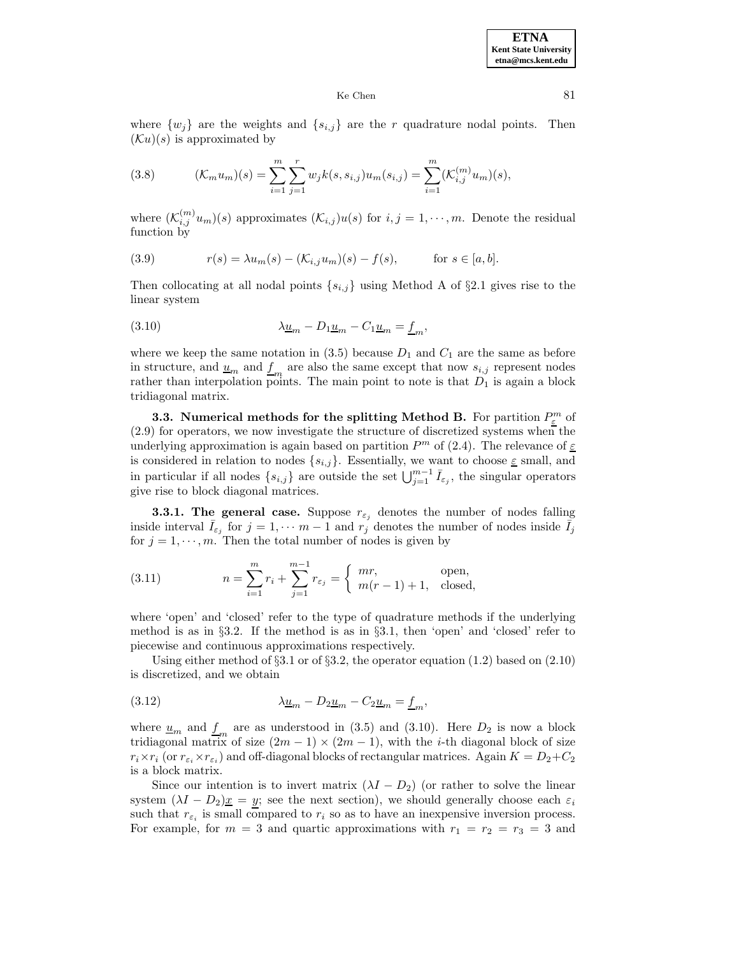where  $\{w_j\}$  are the weights and  $\{s_{i,j}\}\$ are the r quadrature nodal points. Then  $(\mathcal{K}u)(s)$  is approximated by

(3.8) 
$$
(\mathcal{K}_m u_m)(s) = \sum_{i=1}^m \sum_{j=1}^r w_j k(s, s_{i,j}) u_m(s_{i,j}) = \sum_{i=1}^m (\mathcal{K}_{i,j}^{(m)} u_m)(s),
$$

where  $(\mathcal{K}_{i,j}^{(m)}u_m)(s)$  approximates  $(\mathcal{K}_{i,j})u(s)$  for  $i, j = 1, \dots, m$ . Denote the residual function by

(3.9) 
$$
r(s) = \lambda u_m(s) - (\mathcal{K}_{i,j} u_m)(s) - f(s), \quad \text{for } s \in [a,b].
$$

Then collocating at all nodal points  $\{s_{i,j}\}\$  using Method A of  $\S 2.1$  gives rise to the linear system

(3.10) 
$$
\lambda \underline{u}_m - D_1 \underline{u}_m - C_1 \underline{u}_m = \underline{f}_m,
$$

where we keep the same notation in  $(3.5)$  because  $D_1$  and  $C_1$  are the same as before in structure, and  $\underline{u}_m$  and  $\underline{f}_m$  are also the same except that now  $s_{i,j}$  represent nodes rather than interpolation points. The main point to note is that  $D_1$  is again a block tridiagonal matrix.

**3.3. Numerical methods for the splitting Method B.** For partition  $P_{\varepsilon}^{m}$  of (2.9) for operators, we now investigate the structure of discretized systems when the underlying approximation is again based on partition  $P<sup>m</sup>$  of (2.4). The relevance of  $\underline{\varepsilon}$ is considered in relation to nodes  $\{s_{i,j}\}$ . Essentially, we want to choose  $\underline{\varepsilon}$  small, and in particular if all nodes  $\{s_{i,j}\}\$ are outside the set  $\bigcup_{j=1}^{m-1} \bar{I}_{\varepsilon_j}$ , the singular operators give rise to block diagonal matrices.

**3.3.1. The general case.** Suppose  $r_{\epsilon_j}$  denotes the number of nodes falling inside interval  $\bar{I}_{\varepsilon_j}$  for  $j = 1, \cdots m-1$  and  $r_j$  denotes the number of nodes inside  $\bar{I}_j$ for  $j = 1, \dots, m$ . Then the total number of nodes is given by

(3.11) 
$$
n = \sum_{i=1}^{m} r_i + \sum_{j=1}^{m-1} r_{\varepsilon_j} = \begin{cases} mr, & \text{open,} \\ m(r-1) + 1, & \text{closed,} \end{cases}
$$

where 'open' and 'closed' refer to the type of quadrature methods if the underlying method is as in §3.2. If the method is as in §3.1, then 'open' and 'closed' refer to piecewise and continuous approximations respectively.

Using either method of  $\S3.1$  or of  $\S3.2$ , the operator equation (1.2) based on (2.10) is discretized, and we obtain

(3.12) 
$$
\lambda \underline{u}_m - D_2 \underline{u}_m - C_2 \underline{u}_m = \underline{f}_m,
$$

where  $\underline{u}_m$  and  $\underline{f}_m$  are as understood in (3.5) and (3.10). Here  $D_2$  is now a block tridiagonal matrix of size  $(2m - 1) \times (2m - 1)$ , with the *i*-th diagonal block of size  $r_i \times r_i$  (or  $r_{\varepsilon_i} \times r_{\varepsilon_i}$ ) and off-diagonal blocks of rectangular matrices. Again  $K = D_2 + C_2$ is a block matrix.

Since our intention is to invert matrix  $(\lambda I - D_2)$  (or rather to solve the linear system  $(\lambda I - D_2)x = y$ ; see the next section), we should generally choose each  $\varepsilon_i$ such that  $r_{\varepsilon_i}$  is small compared to  $r_i$  so as to have an inexpensive inversion process. For example, for  $m = 3$  and quartic approximations with  $r_1 = r_2 = r_3 = 3$  and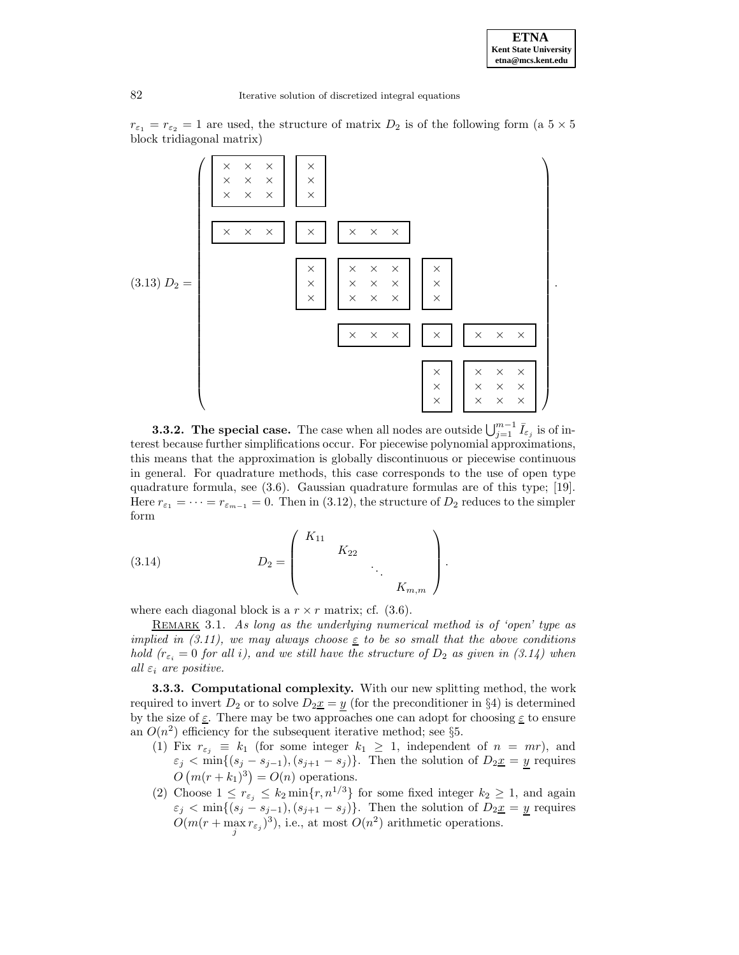$r_{\varepsilon_1} = r_{\varepsilon_2} = 1$  are used, the structure of matrix  $D_2$  is of the following form (a  $5 \times 5$ block tridiagonal matrix)



**3.3.2.** The special case. The case when all nodes are outside  $\bigcup_{j=1}^{m-1} \bar{I}_{\varepsilon_j}$  is of interest because further simplifications occur. For piecewise polynomial approximations, this means that the approximation is globally discontinuous or piecewise continuous in general. For quadrature methods, this case corresponds to the use of open type quadrature formula, see (3.6). Gaussian quadrature formulas are of this type; [19]. Here  $r_{\varepsilon_1} = \cdots = r_{\varepsilon_{m-1}} = 0$ . Then in (3.12), the structure of  $D_2$  reduces to the simpler form

(3.14) 
$$
D_2 = \begin{pmatrix} K_{11} & & & \\ & K_{22} & & \\ & & \ddots & \\ & & & K_{m,m} \end{pmatrix}.
$$

where each diagonal block is a  $r \times r$  matrix; cf. (3.6).

REMARK 3.1. As long as the underlying numerical method is of 'open' type as implied in (3.11), we may always choose  $\epsilon$  to be so small that the above conditions hold  $(r_{\varepsilon_i} = 0$  for all i), and we still have the structure of  $D_2$  as given in (3.14) when all  $\varepsilon_i$  are positive.

**3.3.3. Computational complexity.** With our new splitting method, the work required to invert  $D_2$  or to solve  $D_2 \underline{x} = y$  (for the preconditioner in §4) is determined by the size of  $\underline{\varepsilon}$ . There may be two approaches one can adopt for choosing  $\underline{\varepsilon}$  to ensure an  $O(n^2)$  efficiency for the subsequent iterative method; see §5.

- (1) Fix  $r_{\varepsilon_i} \equiv k_1$  (for some integer  $k_1 \geq 1$ , independent of  $n = mr$ ), and  $\varepsilon_j < \min\{(s_j - s_{j-1}), (s_{j+1} - s_j)\}\.$  Then the solution of  $D_2x = y$  requires  $O(m(r+k_1)^3) = O(n)$  operations.
- (2) Choose  $1 \leq r_{\varepsilon_j} \leq k_2 \min\{r, n^{1/3}\}\)$  for some fixed integer  $k_2 \geq 1$ , and again  $\varepsilon_j < \min\{(s_j - s_{j-1}), (s_{j+1} - s_j)\}\.$  Then the solution of  $D_2 \underline{x} = \underline{y}$  requires  $O(m(r + \max_j r_{\varepsilon_j})^3)$ , i.e., at most  $O(n^2)$  arithmetic operations.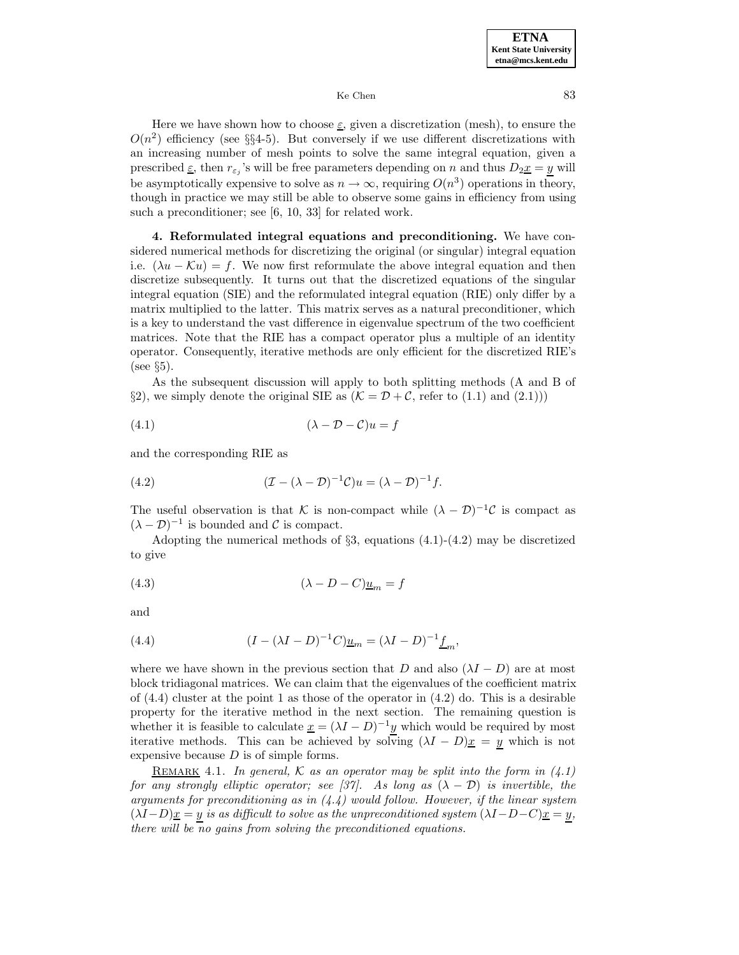Here we have shown how to choose  $\varepsilon$ , given a discretization (mesh), to ensure the  $O(n^2)$  efficiency (see §§4-5). But conversely if we use different discretizations with an increasing number of mesh points to solve the same integral equation, given a prescribed  $\underline{\varepsilon}$ , then  $r_{\varepsilon_i}$ 's will be free parameters depending on n and thus  $D_2 \underline{x} = y$  will be asymptotically expensive to solve as  $n \to \infty$ , requiring  $O(n^3)$  operations in theory, though in practice we may still be able to observe some gains in efficiency from using such a preconditioner; see [6, 10, 33] for related work.

**4. Reformulated integral equations and preconditioning.** We have considered numerical methods for discretizing the original (or singular) integral equation i.e.  $(\lambda u - \mathcal{K}u) = f$ . We now first reformulate the above integral equation and then discretize subsequently. It turns out that the discretized equations of the singular integral equation (SIE) and the reformulated integral equation (RIE) only differ by a matrix multiplied to the latter. This matrix serves as a natural preconditioner, which is a key to understand the vast difference in eigenvalue spectrum of the two coefficient matrices. Note that the RIE has a compact operator plus a multiple of an identity operator. Consequently, iterative methods are only efficient for the discretized RIE's  $(see §5).$ 

As the subsequent discussion will apply to both splitting methods (A and B of §2), we simply denote the original SIE as  $(K = \mathcal{D} + \mathcal{C}$ , refer to (1.1) and (2.1)))

$$
(4.1)\qquad \qquad (\lambda - \mathcal{D} - \mathcal{C})u = f
$$

and the corresponding RIE as

(4.2) 
$$
(\mathcal{I} - (\lambda - \mathcal{D})^{-1}\mathcal{C})u = (\lambda - \mathcal{D})^{-1}f.
$$

The useful observation is that K is non-compact while  $(\lambda - \mathcal{D})^{-1}\mathcal{C}$  is compact as  $(\lambda - \mathcal{D})^{-1}$  is bounded and C is compact.

Adopting the numerical methods of  $\S3$ , equations  $(4.1)-(4.2)$  may be discretized to give

$$
(4.3) \qquad \qquad (\lambda - D - C)\underline{u}_m = f
$$

and

(4.4) 
$$
(I - (\lambda I - D)^{-1}C)\underline{u}_m = (\lambda I - D)^{-1}\underline{f}_m,
$$

where we have shown in the previous section that D and also  $(\lambda I - D)$  are at most block tridiagonal matrices. We can claim that the eigenvalues of the coefficient matrix of  $(4.4)$  cluster at the point 1 as those of the operator in  $(4.2)$  do. This is a desirable property for the iterative method in the next section. The remaining question is whether it is feasible to calculate  $\underline{x} = (\lambda I - D)^{-1} \underline{y}$  which would be required by most iterative methods. This can be achieved by solving  $(\lambda I - D)x = y$  which is not expensive because  $D$  is of simple forms.

REMARK 4.1. In general, K as an operator may be split into the form in  $(4.1)$ for any strongly elliptic operator; see [37]. As long as  $(\lambda - D)$  is invertible, the arguments for preconditioning as in  $(4.4)$  would follow. However, if the linear system  $(\lambda I-D)x = y$  is as difficult to solve as the unpreconditioned system  $(\lambda I-D-C)x = y$ , there will be no gains from solving the preconditioned equations.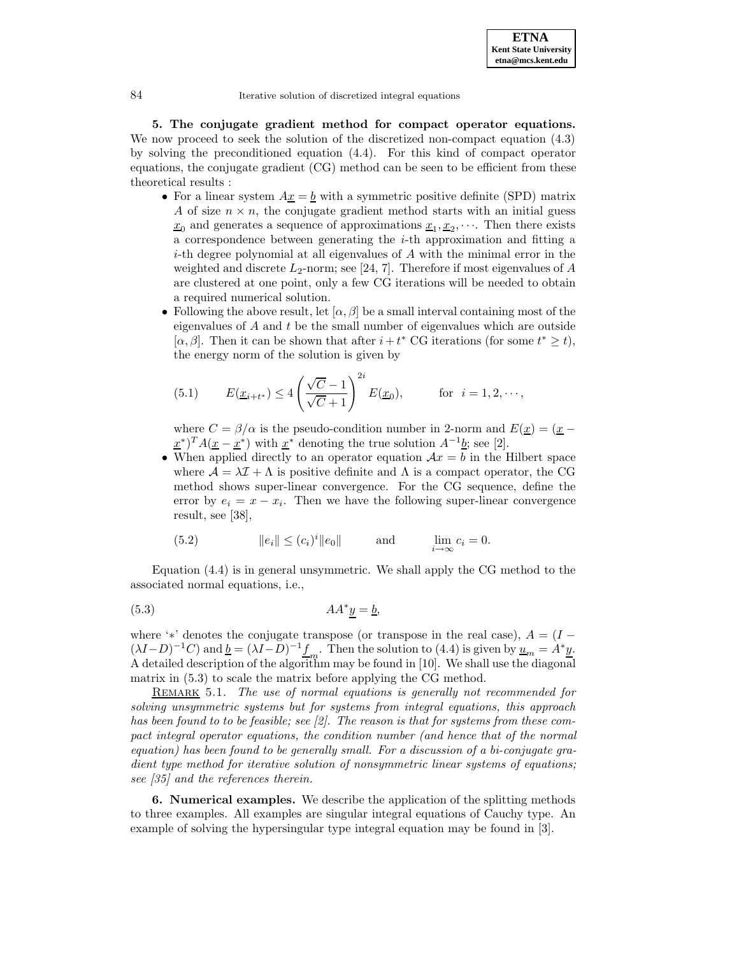**5. The conjugate gradient method for compact operator equations.** We now proceed to seek the solution of the discretized non-compact equation (4.3) by solving the preconditioned equation (4.4). For this kind of compact operator equations, the conjugate gradient (CG) method can be seen to be efficient from these theoretical results :

- For a linear system  $A_x = b$  with a symmetric positive definite (SPD) matrix A of size  $n \times n$ , the conjugate gradient method starts with an initial guess  $x_0$  and generates a sequence of approximations  $x_1, x_2, \cdots$ . Then there exists a correspondence between generating the i-th approximation and fitting a  $i$ -th degree polynomial at all eigenvalues of  $A$  with the minimal error in the weighted and discrete  $L_2$ -norm; see [24, 7]. Therefore if most eigenvalues of A are clustered at one point, only a few CG iterations will be needed to obtain a required numerical solution.
- Following the above result, let  $[\alpha, \beta]$  be a small interval containing most of the eigenvalues of  $A$  and  $t$  be the small number of eigenvalues which are outside [ $\alpha, \beta$ ]. Then it can be shown that after  $i + t^*$  CG iterations (for some  $t^* \geq t$ ), the energy norm of the solution is given by

(5.1) 
$$
E(\underline{x}_{i+t^*}) \le 4\left(\frac{\sqrt{C}-1}{\sqrt{C}+1}\right)^{2i} E(\underline{x}_0),
$$
 for  $i = 1, 2, \dots$ ,

where  $C = \beta/\alpha$  is the pseudo-condition number in 2-norm and  $E(\underline{x}) = (\underline{x} (\underline{x}^*)^T A(\underline{x} - \underline{x}^*)$  with  $\underline{x}^*$  denoting the true solution  $A^{-1}\underline{b}$ ; see [2].

• When applied directly to an operator equation  $\mathcal{A}x = b$  in the Hilbert space where  $\mathcal{A} = \lambda \mathcal{I} + \Lambda$  is positive definite and  $\Lambda$  is a compact operator, the CG method shows super-linear convergence. For the CG sequence, define the error by  $e_i = x - x_i$ . Then we have the following super-linear convergence result, see [38],

(5.2) 
$$
||e_i|| \le (c_i)^i ||e_0||
$$
 and  $\lim_{i \to \infty} c_i = 0$ .

Equation (4.4) is in general unsymmetric. We shall apply the CG method to the associated normal equations, i.e.,

$$
(5.3) \t\t AA^*y = b,
$$

where '\*' denotes the conjugate transpose (or transpose in the real case),  $A = (I (\lambda I-D)^{-1}C$ ) and  $\underline{b}=(\lambda I-\overline{D})^{-1}\underline{f}_m$ . Then the solution to (4.4) is given by  $\underline{u}_m=\overline{A^*}\underline{y}$ . A detailed description of the algorithm may be found in [10]. We shall use the diagonal matrix in (5.3) to scale the matrix before applying the CG method.

REMARK 5.1. The use of normal equations is generally not recommended for solving unsymmetric systems but for systems from integral equations, this approach has been found to to be feasible; see [2]. The reason is that for systems from these compact integral operator equations, the condition number (and hence that of the normal equation) has been found to be generally small. For a discussion of a bi-conjugate gradient type method for iterative solution of nonsymmetric linear systems of equations; see [35] and the references therein.

**6. Numerical examples.** We describe the application of the splitting methods to three examples. All examples are singular integral equations of Cauchy type. An example of solving the hypersingular type integral equation may be found in [3].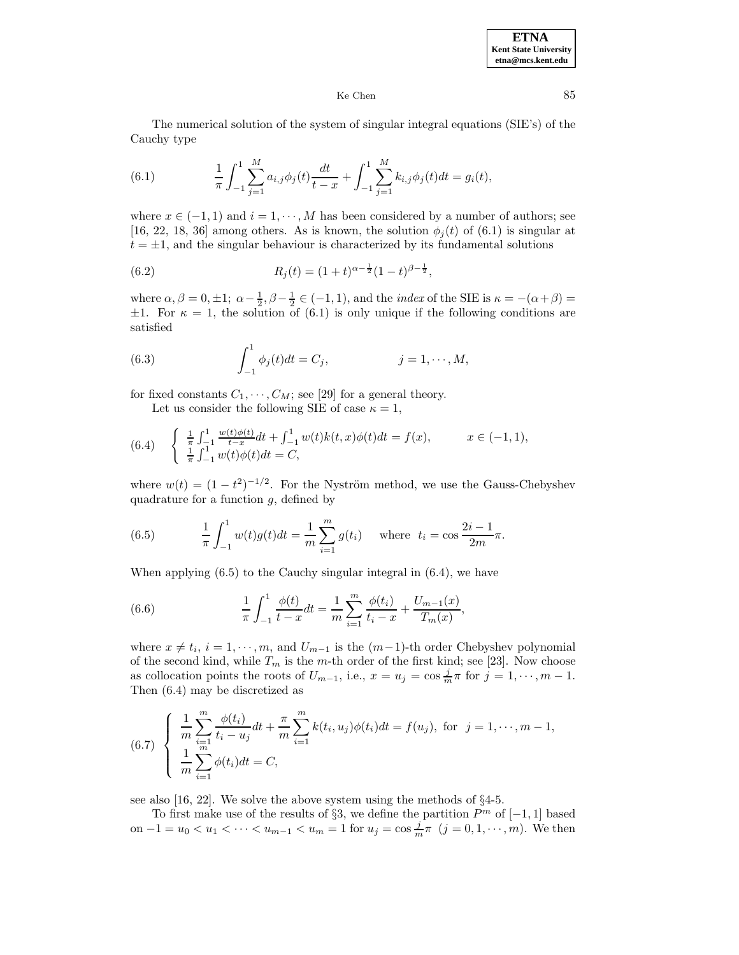The numerical solution of the system of singular integral equations (SIE's) of the Cauchy type

(6.1) 
$$
\frac{1}{\pi} \int_{-1}^{1} \sum_{j=1}^{M} a_{i,j} \phi_j(t) \frac{dt}{t-x} + \int_{-1}^{1} \sum_{j=1}^{M} k_{i,j} \phi_j(t) dt = g_i(t),
$$

where  $x \in (-1, 1)$  and  $i = 1, \dots, M$  has been considered by a number of authors; see [16, 22, 18, 36] among others. As is known, the solution  $\phi_i(t)$  of (6.1) is singular at  $t = \pm 1$ , and the singular behaviour is characterized by its fundamental solutions

(6.2) 
$$
R_j(t) = (1+t)^{\alpha - \frac{1}{2}}(1-t)^{\beta - \frac{1}{2}},
$$

where  $\alpha, \beta = 0, \pm 1; \ \alpha - \frac{1}{2}, \beta - \frac{1}{2} \in (-1, 1)$ , and the *index* of the SIE is  $\kappa = -(\alpha + \beta) =$  $\pm 1$ . For  $\kappa = 1$ , the solution of (6.1) is only unique if the following conditions are satisfied

(6.3) 
$$
\int_{-1}^{1} \phi_j(t) dt = C_j, \qquad j = 1, \cdots, M,
$$

for fixed constants  $C_1, \dots, C_M$ ; see [29] for a general theory.

Let us consider the following SIE of case  $\kappa = 1$ ,

(6.4) 
$$
\begin{cases} \frac{1}{\pi} \int_{-1}^{1} \frac{w(t)\phi(t)}{t-x} dt + \int_{-1}^{1} w(t)k(t,x)\phi(t) dt = f(x), & x \in (-1,1), \\ \frac{1}{\pi} \int_{-1}^{1} w(t)\phi(t) dt = C, \end{cases}
$$

where  $w(t) = (1 - t^2)^{-1/2}$ . For the Nyström method, we use the Gauss-Chebyshev quadrature for a function  $q$ , defined by

(6.5) 
$$
\frac{1}{\pi} \int_{-1}^{1} w(t)g(t)dt = \frac{1}{m} \sum_{i=1}^{m} g(t_i) \text{ where } t_i = \cos \frac{2i-1}{2m} \pi.
$$

When applying (6.5) to the Cauchy singular integral in (6.4), we have

(6.6) 
$$
\frac{1}{\pi} \int_{-1}^{1} \frac{\phi(t)}{t - x} dt = \frac{1}{m} \sum_{i=1}^{m} \frac{\phi(t_i)}{t_i - x} + \frac{U_{m-1}(x)}{T_m(x)},
$$

where  $x \neq t_i$ ,  $i = 1, \dots, m$ , and  $U_{m-1}$  is the  $(m-1)$ -th order Chebyshev polynomial of the second kind, while  $T_m$  is the m-th order of the first kind; see [23]. Now choose as collocation points the roots of  $U_{m-1}$ , i.e.,  $x = u_j = \cos \frac{j}{m} \pi$  for  $j = 1, \dots, m-1$ . Then (6.4) may be discretized as

(6.7) 
$$
\begin{cases} \frac{1}{m} \sum_{i=1}^{m} \frac{\phi(t_i)}{t_i - u_j} dt + \frac{\pi}{m} \sum_{i=1}^{m} k(t_i, u_j) \phi(t_i) dt = f(u_j), \text{ for } j = 1, \dots, m-1, \\ \frac{1}{m} \sum_{i=1}^{m} \phi(t_i) dt = C, \end{cases}
$$

see also [16, 22]. We solve the above system using the methods of §4-5.

To first make use of the results of §3, we define the partition  $P<sup>m</sup>$  of  $[-1,1]$  based on  $-1 = u_0 < u_1 < \cdots < u_{m-1} < u_m = 1$  for  $u_j = \cos \frac{j}{m} \pi$   $(j = 0, 1, \dots, m)$ . We then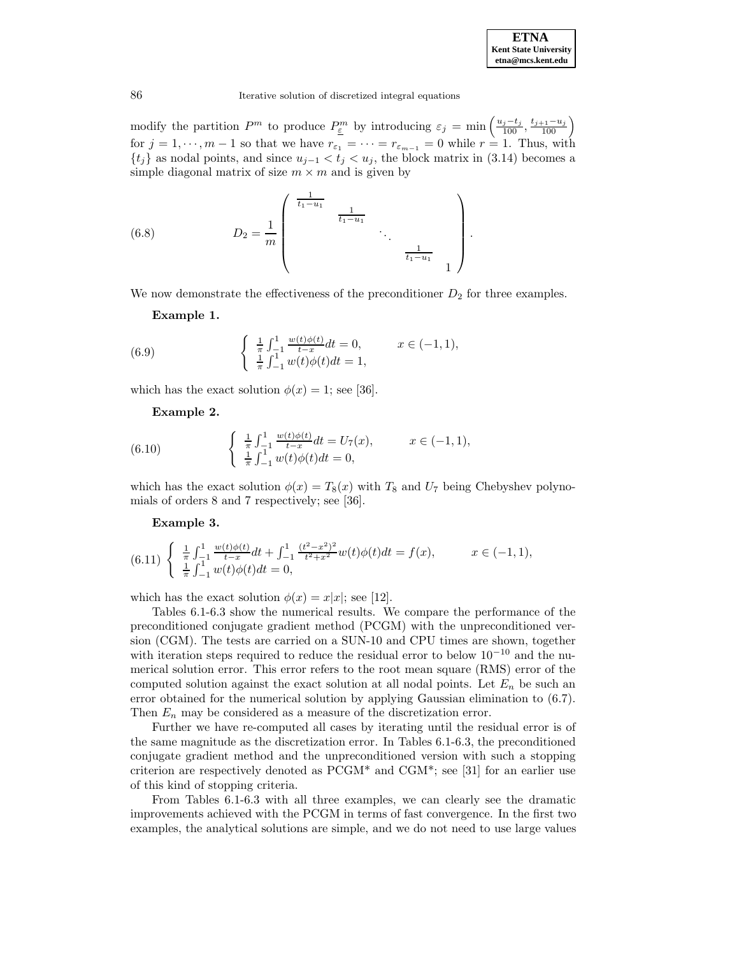

modify the partition  $P^m$  to produce  $P_{\underline{\varepsilon}}^m$  by introducing  $\varepsilon_j = \min\left(\frac{u_j-t_j}{100}, \frac{t_{j+1}-u_j}{100}\right)$ for  $j = 1, \dots, m - 1$  so that we have  $r_{\varepsilon_1} = \dots = r_{\varepsilon_{m-1}} = 0$  while  $r = 1$ . Thus, with  $\{t_j\}$  as nodal points, and since  $u_{j-1} < t_j < u_j$ , the block matrix in (3.14) becomes a simple diagonal matrix of size  $m \times m$  and is given by

(6.8) 
$$
D_2 = \frac{1}{m} \begin{pmatrix} \frac{1}{t_1 - u_1} & & \frac{1}{t_1 - u_1} & & \cdots & \frac{1}{t_1 - u_1} & & \cdots & \frac{1}{t_1 - u_1} & & 1 \end{pmatrix}.
$$

We now demonstrate the effectiveness of the preconditioner  $D_2$  for three examples.

**Example 1.**

(6.9) 
$$
\begin{cases} \frac{1}{\pi} \int_{-1}^{1} \frac{w(t)\phi(t)}{t-x} dt = 0, & x \in (-1,1), \\ \frac{1}{\pi} \int_{-1}^{1} w(t)\phi(t) dt = 1, \end{cases}
$$

which has the exact solution  $\phi(x) = 1$ ; see [36].

**Example 2.**

(6.10) 
$$
\begin{cases} \frac{1}{\pi} \int_{-1}^{1} \frac{w(t)\phi(t)}{t-x} dt = U_7(x), & x \in (-1,1), \\ \frac{1}{\pi} \int_{-1}^{1} w(t)\phi(t) dt = 0, \end{cases}
$$

which has the exact solution  $\phi(x) = T_8(x)$  with  $T_8$  and  $U_7$  being Chebyshev polynomials of orders 8 and 7 respectively; see [36].

**Example 3.**

$$
(6.11) \begin{cases} \frac{1}{\pi} \int_{-1}^{1} \frac{w(t)\phi(t)}{t-x} dt + \int_{-1}^{1} \frac{(t^2 - x^2)^2}{t^2 + x^2} w(t) \phi(t) dt = f(x), & x \in (-1, 1), \\ \frac{1}{\pi} \int_{-1}^{1} w(t) \phi(t) dt = 0, & \end{cases}
$$

which has the exact solution  $\phi(x) = x|x|$ ; see [12].

Tables 6.1-6.3 show the numerical results. We compare the performance of the preconditioned conjugate gradient method (PCGM) with the unpreconditioned version (CGM). The tests are carried on a SUN-10 and CPU times are shown, together with iteration steps required to reduce the residual error to below  $10^{-10}$  and the numerical solution error. This error refers to the root mean square (RMS) error of the computed solution against the exact solution at all nodal points. Let  $E_n$  be such an error obtained for the numerical solution by applying Gaussian elimination to (6.7). Then  $E_n$  may be considered as a measure of the discretization error.

Further we have re-computed all cases by iterating until the residual error is of the same magnitude as the discretization error. In Tables 6.1-6.3, the preconditioned conjugate gradient method and the unpreconditioned version with such a stopping criterion are respectively denoted as  $PCGM^*$  and  $CGM^*$ ; see [31] for an earlier use of this kind of stopping criteria.

From Tables 6.1-6.3 with all three examples, we can clearly see the dramatic improvements achieved with the PCGM in terms of fast convergence. In the first two examples, the analytical solutions are simple, and we do not need to use large values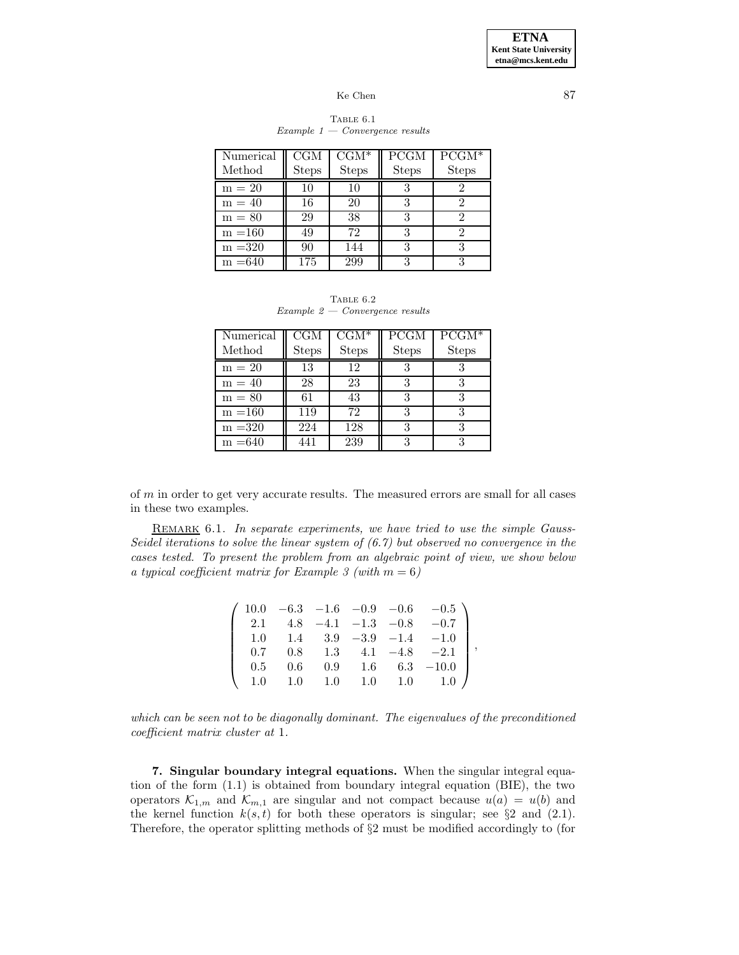| Numerical<br>Method | CGM<br><b>Steps</b> | $CGM^*$<br><b>Steps</b> | <b>PCGM</b><br><b>Steps</b> | $PCGM^*$<br><b>Steps</b> |
|---------------------|---------------------|-------------------------|-----------------------------|--------------------------|
| $m = 20$            | 10                  | 10                      | 3                           |                          |
| $m = 40$            | 16                  | 20                      | 3                           | റ                        |
| $m = 80$            | 29                  | 38                      | З                           |                          |
| $m = 160$           | 49                  | 72                      | 3                           |                          |
| $m = 320$           | 90                  | 144                     | 3                           |                          |
| $m = 640$           | 175                 | 299                     | 3                           |                          |

### TABLE  $6.1$  $Example 1 - Convergence results$

TABLE  $6.2$ Example 2 — Convergence results

| Numerical<br>Method | <b>CGM</b><br><b>Steps</b> | $CGM^*$<br><b>Steps</b> | <b>PCGM</b><br><b>Steps</b> | $\overline{PCGM}^*$<br><b>Steps</b> |
|---------------------|----------------------------|-------------------------|-----------------------------|-------------------------------------|
| $m = 20$            | 13                         | 12                      |                             |                                     |
| $m = 40$            | 28                         | 23                      | 3                           |                                     |
| $m = 80$            | 61                         | 43                      | 3                           |                                     |
| $m = 160$           | 119                        | 72                      | 3                           | 3                                   |
| $m = 320$           | 224                        | 128                     | 3                           |                                     |
| $m = 640$           | 441                        | 239                     | 3                           |                                     |

of m in order to get very accurate results. The measured errors are small for all cases in these two examples.

REMARK 6.1. In separate experiments, we have tried to use the simple Gauss-Seidel iterations to solve the linear system of  $(6.7)$  but observed no convergence in the cases tested. To present the problem from an algebraic point of view, we show below a typical coefficient matrix for Example 3 (with  $m = 6$ )

|     |         |       |         |                      | $10.0 -6.3 -1.6 -0.9 -0.6 -0.5$ |
|-----|---------|-------|---------|----------------------|---------------------------------|
| 2.1 | 4.8     |       |         | $-4.1$ $-1.3$ $-0.8$ | $-0.7$                          |
| 1.0 |         |       |         |                      | 1.4 $3.9 -3.9 -1.4 -1.0$        |
| 0.7 | 0.8     | - 1.3 |         | $4.1 -4.8$           | $^{-2.1}$                       |
| 0.5 | $0.6\,$ | 0.9   | $1.6\,$ | $6.3\,$              | $-10.0$                         |
|     | 1.0     | 1.0   | 1.0     | 1.0                  | -1.0                            |

,

which can be seen not to be diagonally dominant. The eigenvalues of the preconditioned coefficient matrix cluster at 1.

**7. Singular boundary integral equations.** When the singular integral equation of the form (1.1) is obtained from boundary integral equation (BIE), the two operators  $\mathcal{K}_{1,m}$  and  $\mathcal{K}_{m,1}$  are singular and not compact because  $u(a) = u(b)$  and the kernel function  $k(s,t)$  for both these operators is singular; see §2 and (2.1). Therefore, the operator splitting methods of §2 must be modified accordingly to (for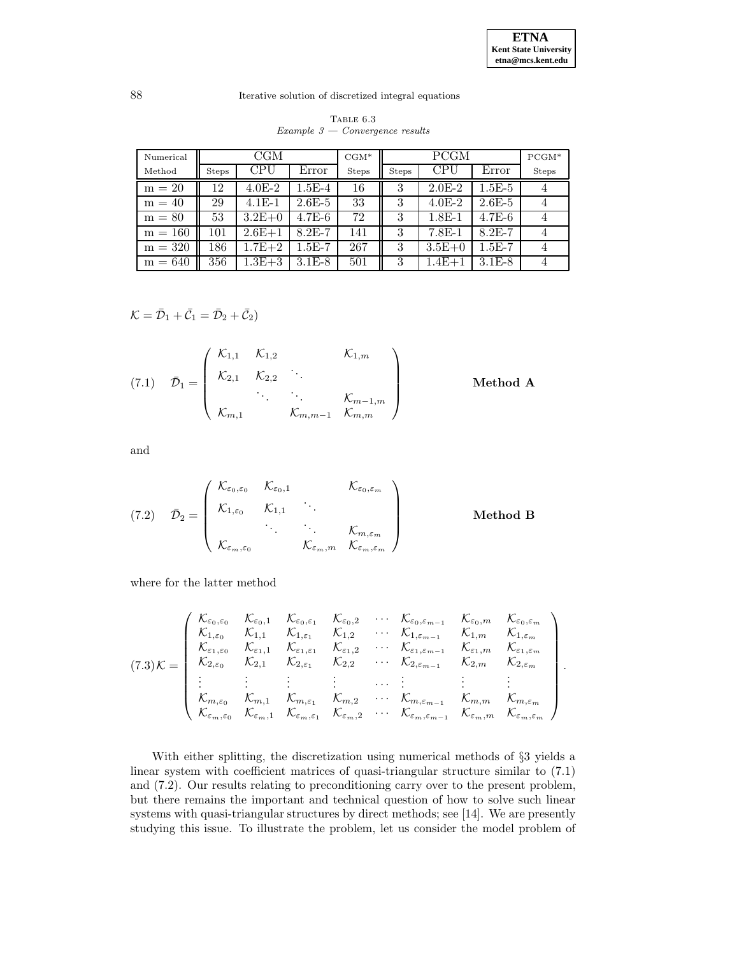|  | TABLE 6.3                         |  |
|--|-----------------------------------|--|
|  | $Example 3 - Convergence results$ |  |

| Numerical | CGM          |            |            | $CGM*$       | <b>PCGM</b>  |            |          | $PCGM*$      |
|-----------|--------------|------------|------------|--------------|--------------|------------|----------|--------------|
| Method    | <b>Steps</b> | CPU        | Error      | <b>Steps</b> | <b>Steps</b> | CPU        | Error    | <b>Steps</b> |
| $m = 20$  | 12           | $4.0E-2$   | $1.5E-4$   | 16           | 3            | $2.0E-2$   | $1.5E-5$ |              |
| $m = 40$  | 29           | $4.1E-1$   | $2.6E-5$   | 33           | 3            | $4.0E-2$   | $2.6E-5$ |              |
| $m = 80$  | 53           | $3.2E+0$   | $4.7E-6$   | 72           | 3            | $1.8E-1$   | $4.7E-6$ |              |
| $m = 160$ | 101          | $2.6E+1$   | $8.2E - 7$ | 141          | 3            | $7.8E-1$   | $8.2E-7$ |              |
| $m = 320$ | 186          | $1.7E + 2$ | $1.5E-7$   | 267          | 3            | $3.5E+0$   | $1.5E-7$ |              |
| $m = 640$ | 356          | $1.3E + 3$ | $3.1E-8$   | 501          | 3            | $1.4E + 1$ | $3.1E-8$ |              |

$$
\mathcal{K}=\bar{\mathcal{D}}_1+\bar{\mathcal{C}}_1=\bar{\mathcal{D}}_2+\bar{\mathcal{C}}_2)
$$

(7.1) 
$$
\bar{\mathcal{D}}_1 = \begin{pmatrix} \mathcal{K}_{1,1} & \mathcal{K}_{1,2} & \mathcal{K}_{1,m} \\ \mathcal{K}_{2,1} & \mathcal{K}_{2,2} & \cdots & \cdots & \mathcal{K}_{m-1,m} \\ \vdots & \vdots & \ddots & \vdots \\ \mathcal{K}_{m,1} & \mathcal{K}_{m,m-1} & \mathcal{K}_{m,m} \end{pmatrix}
$$
 Method A

and

(7.2) 
$$
\bar{\mathcal{D}}_2 = \begin{pmatrix} \mathcal{K}_{\varepsilon_0,\varepsilon_0} & \mathcal{K}_{\varepsilon_0,1} & \mathcal{K}_{\varepsilon_0,\varepsilon_m} \\ \mathcal{K}_{1,\varepsilon_0} & \mathcal{K}_{1,1} & \cdots & \mathcal{K}_{m,\varepsilon_m} \\ \vdots & \vdots & \ddots & \vdots \\ \mathcal{K}_{\varepsilon_m,\varepsilon_0} & \mathcal{K}_{\varepsilon_m,m} & \mathcal{K}_{\varepsilon_m,\varepsilon_m} \end{pmatrix}
$$
 Method B

where for the latter method

$$
(7.3) \mathcal{K} = \begin{pmatrix} \mathcal{K}_{\varepsilon_{0},\varepsilon_{0}} & \mathcal{K}_{\varepsilon_{0},\varepsilon_{1}} & \mathcal{K}_{\varepsilon_{0},\varepsilon_{1}} & \mathcal{K}_{\varepsilon_{0},\varepsilon_{m}} & \mathcal{K}_{\varepsilon_{0},\varepsilon_{m}} & \mathcal{K}_{\varepsilon_{0},\varepsilon_{m}} \\ \mathcal{K}_{1,\varepsilon_{0}} & \mathcal{K}_{1,1} & \mathcal{K}_{1,\varepsilon_{1}} & \mathcal{K}_{1,2} & \cdots & \mathcal{K}_{1,\varepsilon_{m-1}} & \mathcal{K}_{1,m} & \mathcal{K}_{1,\varepsilon_{m}} \\ \mathcal{K}_{\varepsilon_{1},\varepsilon_{0}} & \mathcal{K}_{\varepsilon_{1},1} & \mathcal{K}_{\varepsilon_{1},\varepsilon_{1}} & \mathcal{K}_{\varepsilon_{1},2} & \cdots & \mathcal{K}_{\varepsilon_{1},\varepsilon_{m-1}} & \mathcal{K}_{\varepsilon_{1},\varepsilon_{1}} & \mathcal{K}_{\varepsilon_{1},\varepsilon_{m}} \\ \mathcal{K}_{2,\varepsilon_{0}} & \mathcal{K}_{2,1} & \mathcal{K}_{2,\varepsilon_{1}} & \mathcal{K}_{2,2} & \cdots & \mathcal{K}_{2,\varepsilon_{m-1}} & \mathcal{K}_{2,m} & \mathcal{K}_{2,\varepsilon_{m}} \\ \vdots & \vdots & \vdots & \vdots & \ddots & \vdots & \vdots & \vdots \\ \mathcal{K}_{m,\varepsilon_{0}} & \mathcal{K}_{m,1} & \mathcal{K}_{m,\varepsilon_{1}} & \mathcal{K}_{m,2} & \cdots & \mathcal{K}_{m,\varepsilon_{m-1}} & \mathcal{K}_{m,m} & \mathcal{K}_{m,\varepsilon_{m}} \\ \mathcal{K}_{\varepsilon_{m},\varepsilon_{0}} & \mathcal{K}_{\varepsilon_{m},1} & \mathcal{K}_{\varepsilon_{m},\varepsilon_{1}} & \mathcal{K}_{\varepsilon_{m},2} & \cdots & \mathcal{K}_{\varepsilon_{m,\varepsilon_{m-1}}} & \mathcal{K}_{\varepsilon_{m,m}} & \mathcal{K}_{\varepsilon_{m,\varepsilon_{m}}} \end{pmatrix}.
$$

With either splitting, the discretization using numerical methods of §3 yields a linear system with coefficient matrices of quasi-triangular structure similar to (7.1) and (7.2). Our results relating to preconditioning carry over to the present problem, but there remains the important and technical question of how to solve such linear systems with quasi-triangular structures by direct methods; see [14]. We are presently studying this issue. To illustrate the problem, let us consider the model problem of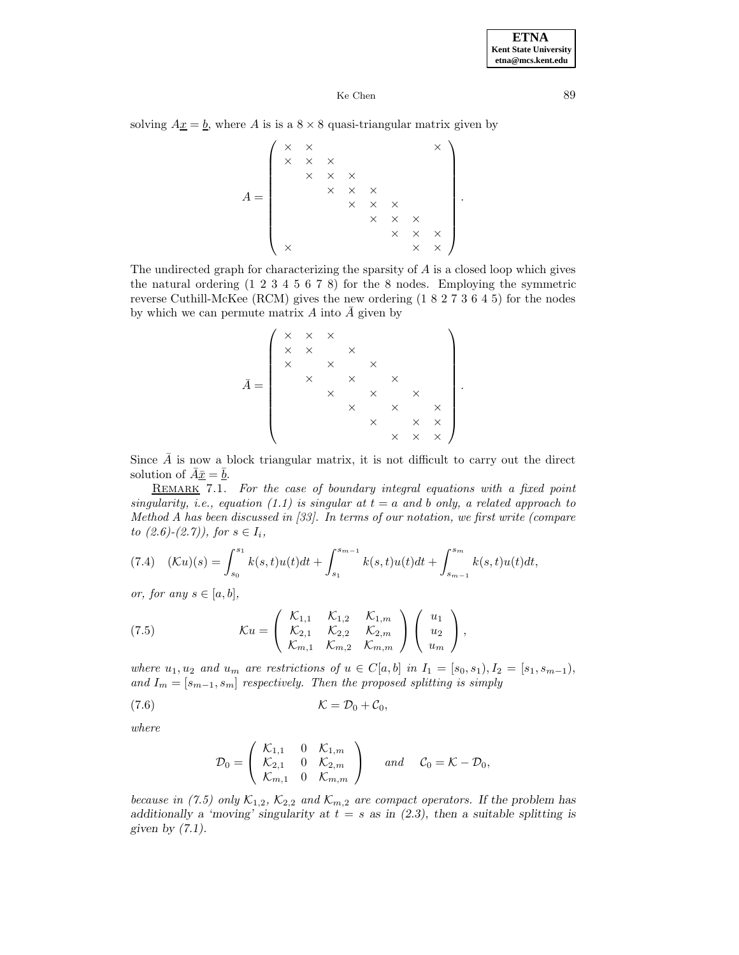solving  $A\underline{x} = \underline{b}$ , where A is is a  $8 \times 8$  quasi-triangular matrix given by

 $A =$  $\left( \begin{array}{ccc} \times & \times \end{array} \right)$   $\times$   $\times$   $\times$   $\times$  $\times$   $\times$   $\times$  $\times$   $\times$   $\times$  $\times$   $\times$   $\times$  $\times$   $\times$   $\times$  $\times$   $\times$   $\times$  $\times$   $\times$   $\times$   $\times$  $\setminus$  $\overline{\phantom{a}}$ .

The undirected graph for characterizing the sparsity of  $A$  is a closed loop which gives the natural ordering (1 2 3 4 5 6 7 8) for the 8 nodes. Employing the symmetric reverse Cuthill-McKee (RCM) gives the new ordering (1 8 2 7 3 6 4 5) for the nodes by which we can permute matrix A into  $\overline{A}$  given by

A¯ = ××× ×× × ××× ××× ××× ××× × ×× ××× 

.

Since  $\bar{A}$  is now a block triangular matrix, it is not difficult to carry out the direct solution of  $A\bar{x} = b$ .

REMARK 7.1. For the case of boundary integral equations with a fixed point singularity, i.e., equation (1.1) is singular at  $t = a$  and b only, a related approach to Method A has been discussed in [33]. In terms of our notation, we first write (compare to  $(2.6)-(2.7)$ , for  $s \in I_i$ ,

$$
(7.4)\quad (\mathcal{K}u)(s) = \int_{s_0}^{s_1} k(s,t)u(t)dt + \int_{s_1}^{s_{m-1}} k(s,t)u(t)dt + \int_{s_{m-1}}^{s_m} k(s,t)u(t)dt,
$$

or, for any  $s \in [a, b]$ ,

(7.5) 
$$
\mathcal{K}u = \begin{pmatrix} \mathcal{K}_{1,1} & \mathcal{K}_{1,2} & \mathcal{K}_{1,m} \\ \mathcal{K}_{2,1} & \mathcal{K}_{2,2} & \mathcal{K}_{2,m} \\ \mathcal{K}_{m,1} & \mathcal{K}_{m,2} & \mathcal{K}_{m,m} \end{pmatrix} \begin{pmatrix} u_1 \\ u_2 \\ u_m \end{pmatrix},
$$

where  $u_1, u_2$  and  $u_m$  are restrictions of  $u \in C[a, b]$  in  $I_1 = [s_0, s_1), I_2 = [s_1, s_{m-1}),$ and  $I_m = [s_{m-1}, s_m]$  respectively. Then the proposed splitting is simply

$$
(\mathbf{7.6})\qquad \qquad \mathcal{K}=\mathcal{D}_0+\mathcal{C}_0,
$$

where

$$
\mathcal{D}_0 = \left(\begin{array}{cccc} \mathcal{K}_{1,1} & 0 & \mathcal{K}_{1,m} \\ \mathcal{K}_{2,1} & 0 & \mathcal{K}_{2,m} \\ \mathcal{K}_{m,1} & 0 & \mathcal{K}_{m,m} \end{array}\right) \qquad \text{and} \qquad \mathcal{C}_0 = \mathcal{K} - \mathcal{D}_0,
$$

because in (7.5) only  $K_{1,2}$ ,  $K_{2,2}$  and  $K_{m,2}$  are compact operators. If the problem has *additionally a 'moving' singularity at*  $t = s$  *as in (2.3), then a suitable splitting is given by (7.1)*.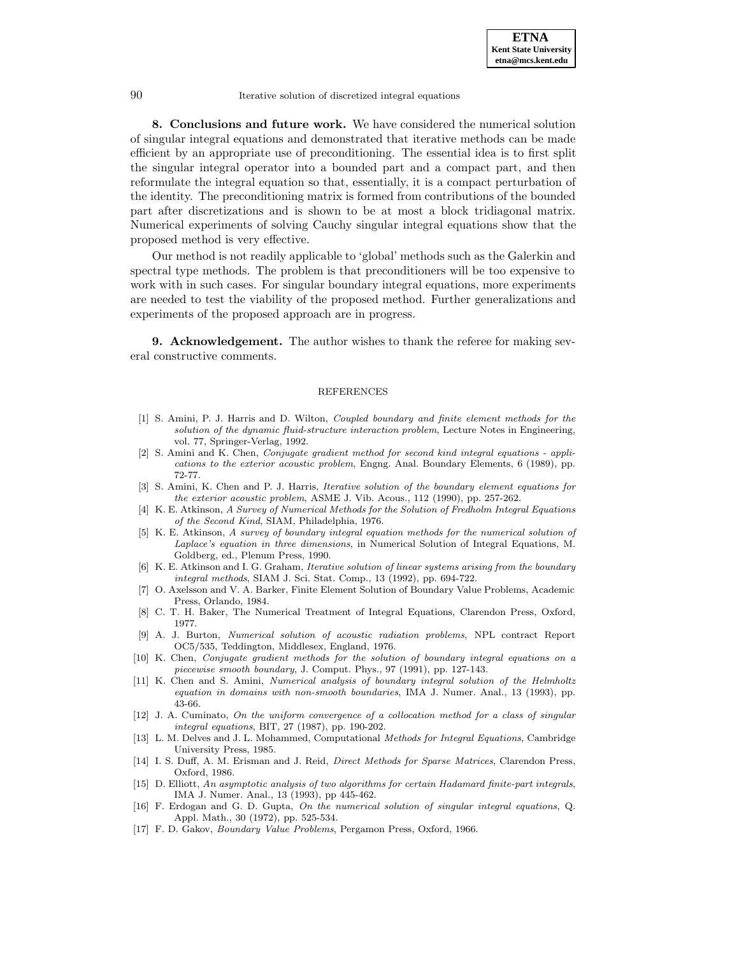

**8. Conclusions and future work.** We have considered the numerical solution of singular integral equations and demonstrated that iterative methods can be made efficient by an appropriate use of preconditioning. The essential idea is to first split the singular integral operator into a bounded part and a compact part, and then reformulate the integral equation so that, essentially, it is a compact perturbation of the identity. The preconditioning matrix is formed from contributions of the bounded part after discretizations and is shown to be at most a block tridiagonal matrix. Numerical experiments of solving Cauchy singular integral equations show that the proposed method is very effective.

Our method is not readily applicable to 'global' methods such as the Galerkin and spectral type methods. The problem is that preconditioners will be too expensive to work with in such cases. For singular boundary integral equations, more experiments are needed to test the viability of the proposed method. Further generalizations and experiments of the proposed approach are in progress.

**9. Acknowledgement.** The author wishes to thank the referee for making several constructive comments.

#### REFERENCES

- [1] S. Amini, P. J. Harris and D. Wilton, *Coupled boundary and finite element methods for the* solution of the dynamic fluid-structure interaction problem, Lecture Notes in Engineering, vol. 77, Springer-Verlag, 1992.
- [2] S. Amini and K. Chen, Conjugate gradient method for second kind integral equations applications to the exterior acoustic problem, Engng. Anal. Boundary Elements, 6 (1989), pp. 72-77.
- [3] S. Amini, K. Chen and P. J. Harris, Iterative solution of the boundary element equations for the exterior acoustic problem, ASME J. Vib. Acous., 112 (1990), pp. 257-262.
- [4] K. E. Atkinson, A Survey of Numerical Methods for the Solution of Fredholm Integral Equations of the Second Kind, SIAM, Philadelphia, 1976.
- [5] K. E. Atkinson, A survey of boundary integral equation methods for the numerical solution of Laplace's equation in three dimensions, in Numerical Solution of Integral Equations, M. Goldberg, ed., Plenum Press, 1990.
- [6] K. E. Atkinson and I. G. Graham, Iterative solution of linear systems arising from the boundary integral methods, SIAM J. Sci. Stat. Comp., 13 (1992), pp. 694-722.
- [7] O. Axelsson and V. A. Barker, Finite Element Solution of Boundary Value Problems, Academic Press, Orlando, 1984.
- [8] C. T. H. Baker, The Numerical Treatment of Integral Equations, Clarendon Press, Oxford, 1977.
- [9] A. J. Burton, Numerical solution of acoustic radiation problems, NPL contract Report OC5/535, Teddington, Middlesex, England, 1976.
- [10] K. Chen, Conjugate gradient methods for the solution of boundary integral equations on a piecewise smooth boundary, J. Comput. Phys., 97 (1991), pp. 127-143.
- [11] K. Chen and S. Amini, Numerical analysis of boundary integral solution of the Helmholtz equation in domains with non-smooth boundaries, IMA J. Numer. Anal., 13 (1993), pp. 43-66.
- [12] J. A. Cuminato, On the uniform convergence of a collocation method for a class of singular integral equations, BIT, 27 (1987), pp. 190-202.
- [13] L. M. Delves and J. L. Mohammed, Computational Methods for Integral Equations, Cambridge University Press, 1985.
- [14] I. S. Duff, A. M. Erisman and J. Reid, Direct Methods for Sparse Matrices, Clarendon Press, Oxford, 1986.
- [15] D. Elliott, An asymptotic analysis of two algorithms for certain Hadamard finite-part integrals, IMA J. Numer. Anal., 13 (1993), pp 445-462.
- [16] F. Erdogan and G. D. Gupta, On the numerical solution of singular integral equations, Q. Appl. Math., 30 (1972), pp. 525-534.
- [17] F. D. Gakov, Boundary Value Problems, Pergamon Press, Oxford, 1966.